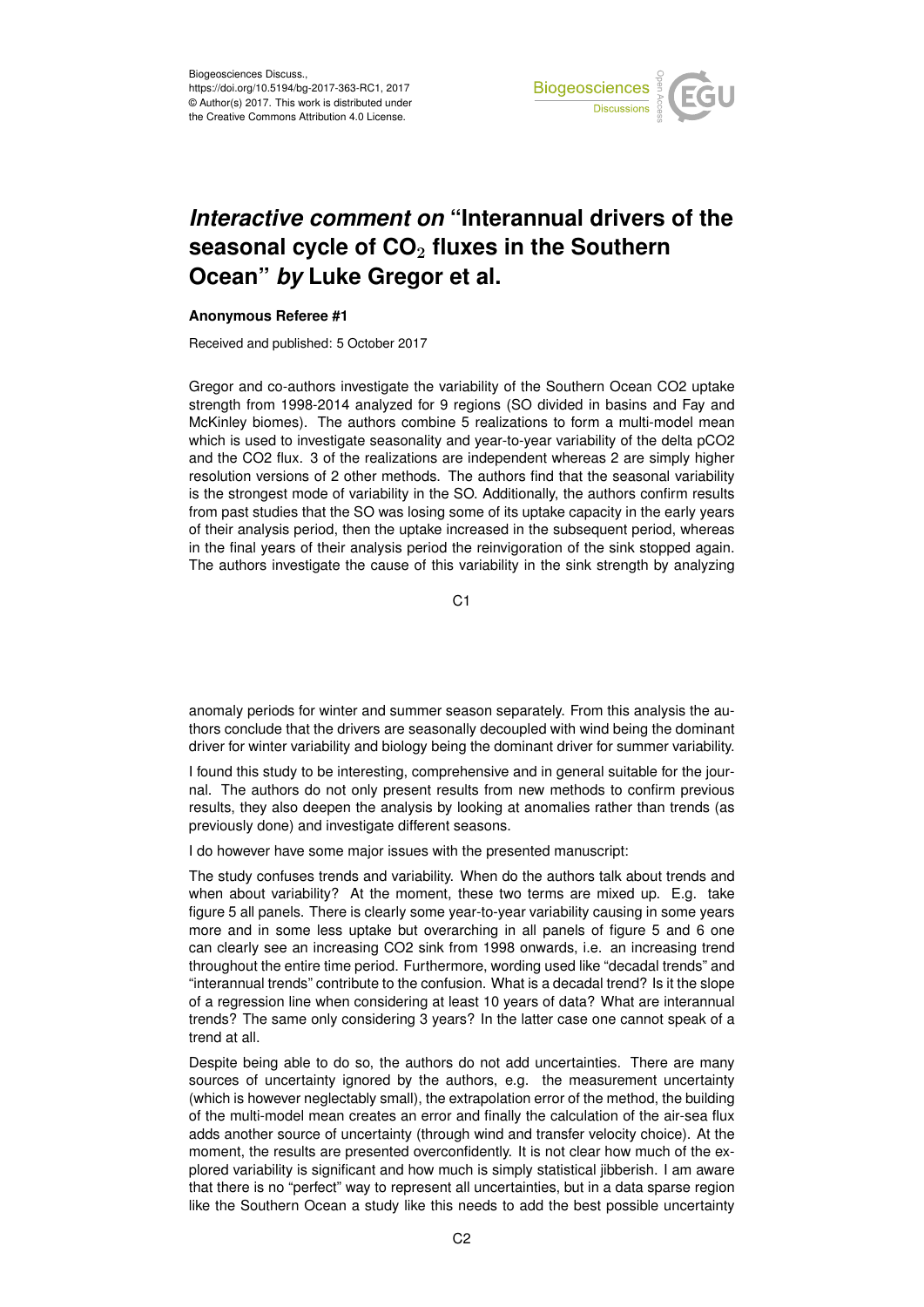

## *Interactive comment on* **"Interannual drivers of the seasonal cycle of CO**<sup>2</sup> **fluxes in the Southern Ocean"** *by* **Luke Gregor et al.**

## **Anonymous Referee #1**

Received and published: 5 October 2017

Gregor and co-authors investigate the variability of the Southern Ocean CO2 uptake strength from 1998-2014 analyzed for 9 regions (SO divided in basins and Fay and McKinley biomes). The authors combine 5 realizations to form a multi-model mean which is used to investigate seasonality and year-to-year variability of the delta pCO2 and the CO2 flux. 3 of the realizations are independent whereas 2 are simply higher resolution versions of 2 other methods. The authors find that the seasonal variability is the strongest mode of variability in the SO. Additionally, the authors confirm results from past studies that the SO was losing some of its uptake capacity in the early years of their analysis period, then the uptake increased in the subsequent period, whereas in the final years of their analysis period the reinvigoration of the sink stopped again. The authors investigate the cause of this variability in the sink strength by analyzing

C1

anomaly periods for winter and summer season separately. From this analysis the authors conclude that the drivers are seasonally decoupled with wind being the dominant driver for winter variability and biology being the dominant driver for summer variability.

I found this study to be interesting, comprehensive and in general suitable for the journal. The authors do not only present results from new methods to confirm previous results, they also deepen the analysis by looking at anomalies rather than trends (as previously done) and investigate different seasons.

I do however have some major issues with the presented manuscript:

The study confuses trends and variability. When do the authors talk about trends and when about variability? At the moment, these two terms are mixed up. E.g. take figure 5 all panels. There is clearly some year-to-year variability causing in some years more and in some less uptake but overarching in all panels of figure 5 and 6 one can clearly see an increasing CO2 sink from 1998 onwards, i.e. an increasing trend throughout the entire time period. Furthermore, wording used like "decadal trends" and "interannual trends" contribute to the confusion. What is a decadal trend? Is it the slope of a regression line when considering at least 10 years of data? What are interannual trends? The same only considering 3 years? In the latter case one cannot speak of a trend at all.

Despite being able to do so, the authors do not add uncertainties. There are many sources of uncertainty ignored by the authors, e.g. the measurement uncertainty (which is however neglectably small), the extrapolation error of the method, the building of the multi-model mean creates an error and finally the calculation of the air-sea flux adds another source of uncertainty (through wind and transfer velocity choice). At the moment, the results are presented overconfidently. It is not clear how much of the explored variability is significant and how much is simply statistical jibberish. I am aware that there is no "perfect" way to represent all uncertainties, but in a data sparse region like the Southern Ocean a study like this needs to add the best possible uncertainty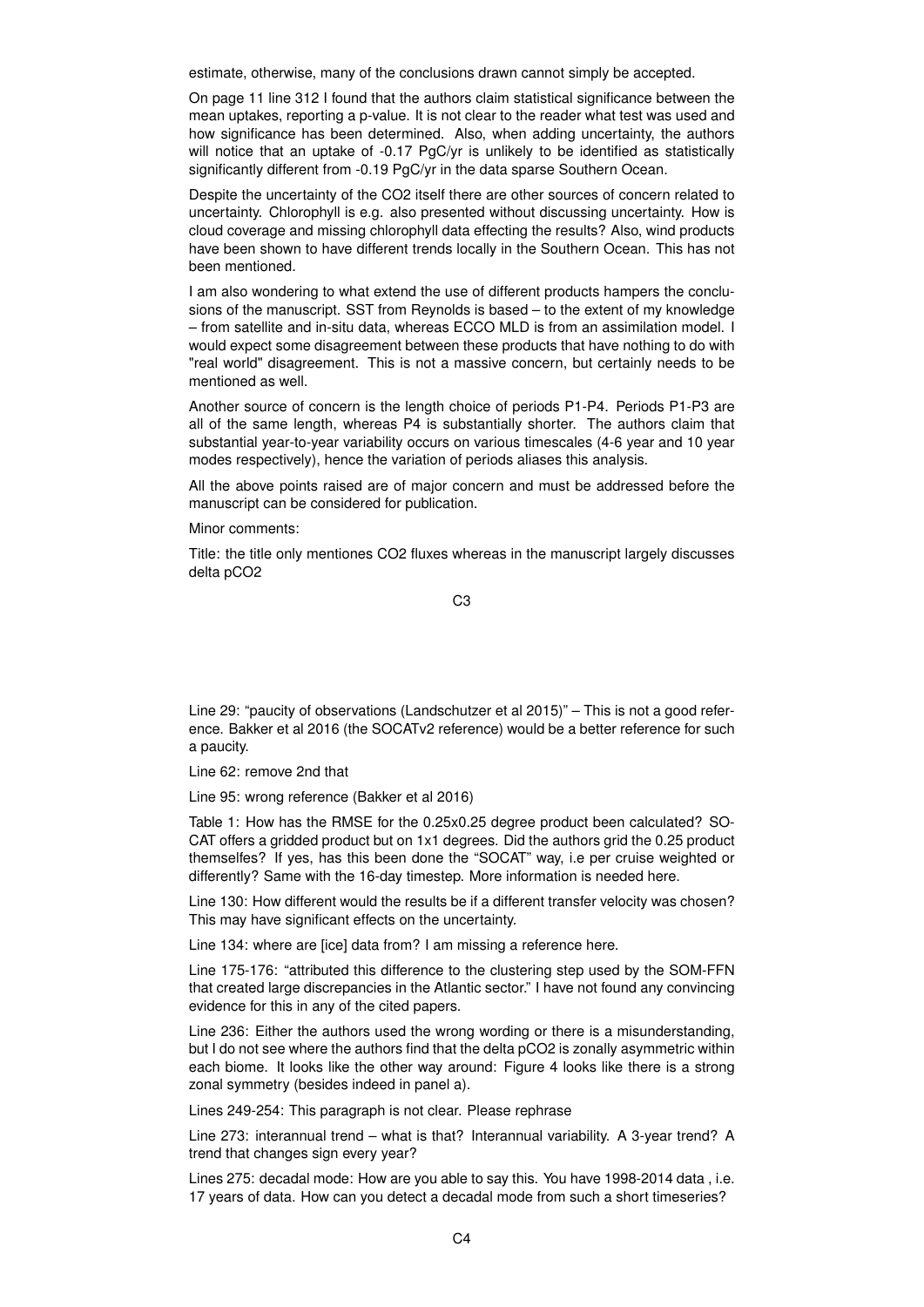estimate, otherwise, many of the conclusions drawn cannot simply be accepted.

On page 11 line 312 I found that the authors claim statistical significance between the mean uptakes, reporting a p-value. It is not clear to the reader what test was used and how significance has been determined. Also, when adding uncertainty, the authors will notice that an uptake of -0.17 PgC/yr is unlikely to be identified as statistically significantly different from -0.19 PgC/yr in the data sparse Southern Ocean.

Despite the uncertainty of the CO2 itself there are other sources of concern related to uncertainty. Chlorophyll is e.g. also presented without discussing uncertainty. How is cloud coverage and missing chlorophyll data effecting the results? Also, wind products have been shown to have different trends locally in the Southern Ocean. This has not been mentioned.

I am also wondering to what extend the use of different products hampers the conclusions of the manuscript. SST from Reynolds is based – to the extent of my knowledge – from satellite and in-situ data, whereas ECCO MLD is from an assimilation model. I would expect some disagreement between these products that have nothing to do with "real world" disagreement. This is not a massive concern, but certainly needs to be mentioned as well.

Another source of concern is the length choice of periods P1-P4. Periods P1-P3 are all of the same length, whereas P4 is substantially shorter. The authors claim that substantial year-to-year variability occurs on various timescales (4-6 year and 10 year modes respectively), hence the variation of periods aliases this analysis.

All the above points raised are of major concern and must be addressed before the manuscript can be considered for publication.

Minor comments:

Title: the title only mentiones CO2 fluxes whereas in the manuscript largely discusses delta pCO2

C3

Line 29: "paucity of observations (Landschutzer et al 2015)" – This is not a good reference. Bakker et al 2016 (the SOCATv2 reference) would be a better reference for such a paucity.

Line 62: remove 2nd that

Line 95: wrong reference (Bakker et al 2016)

Table 1: How has the RMSE for the 0.25x0.25 degree product been calculated? SO-CAT offers a gridded product but on 1x1 degrees. Did the authors grid the 0.25 product themselfes? If yes, has this been done the "SOCAT" way, i.e per cruise weighted or differently? Same with the 16-day timestep. More information is needed here.

Line 130: How different would the results be if a different transfer velocity was chosen? This may have significant effects on the uncertainty.

Line 134: where are [ice] data from? I am missing a reference here.

Line 175-176: "attributed this difference to the clustering step used by the SOM-FFN that created large discrepancies in the Atlantic sector." I have not found any convincing evidence for this in any of the cited papers.

Line 236: Either the authors used the wrong wording or there is a misunderstanding, but I do not see where the authors find that the delta pCO2 is zonally asymmetric within each biome. It looks like the other way around: Figure 4 looks like there is a strong zonal symmetry (besides indeed in panel a).

Lines 249-254: This paragraph is not clear. Please rephrase

Line 273: interannual trend – what is that? Interannual variability. A 3-year trend? A trend that changes sign every year?

Lines 275: decadal mode: How are you able to say this. You have 1998-2014 data , i.e. 17 years of data. How can you detect a decadal mode from such a short timeseries?